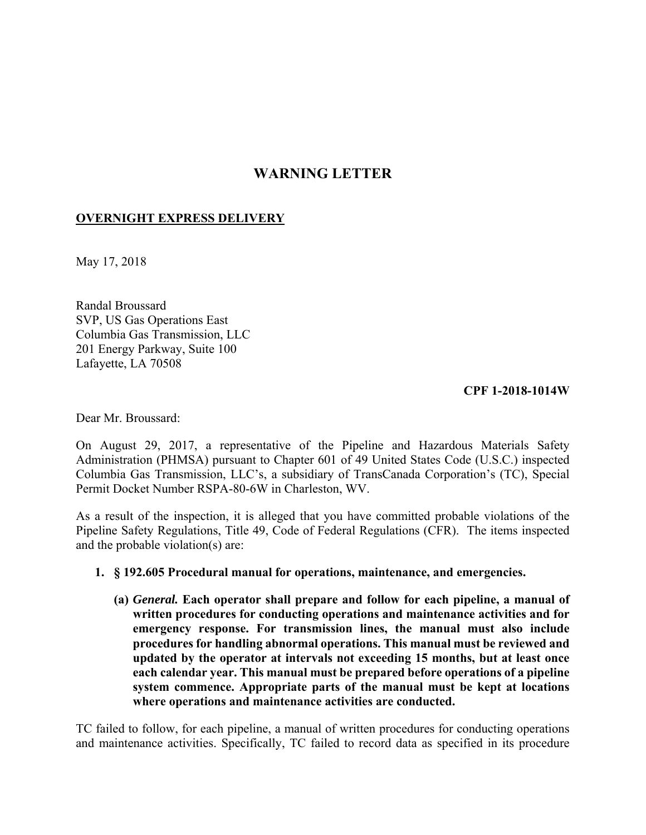## **WARNING LETTER**

## **OVERNIGHT EXPRESS DELIVERY**

May 17, 2018

Randal Broussard SVP, US Gas Operations East Columbia Gas Transmission, LLC 201 Energy Parkway, Suite 100 Lafayette, LA 70508

## **CPF 1-2018-1014W**

Dear Mr. Broussard:

On August 29, 2017, a representative of the Pipeline and Hazardous Materials Safety Administration (PHMSA) pursuant to Chapter 601 of 49 United States Code (U.S.C.) inspected Columbia Gas Transmission, LLC's, a subsidiary of TransCanada Corporation's (TC), Special Permit Docket Number RSPA-80-6W in Charleston, WV.

 Pipeline Safety Regulations, Title 49, Code of Federal Regulations (CFR). The items inspected As a result of the inspection, it is alleged that you have committed probable violations of the and the probable violation(s) are:

## **1. § 192.605 Procedural manual for operations, maintenance, and emergencies.**

**(a)** *General.* **Each operator shall prepare and follow for each pipeline, a manual of written procedures for conducting operations and maintenance activities and for emergency response. For transmission lines, the manual must also include procedures for handling abnormal operations. This manual must be reviewed and updated by the operator at intervals not exceeding 15 months, but at least once each calendar year. This manual must be prepared before operations of a pipeline system commence. Appropriate parts of the manual must be kept at locations where operations and maintenance activities are conducted.** 

TC failed to follow, for each pipeline, a manual of written procedures for conducting operations and maintenance activities. Specifically, TC failed to record data as specified in its procedure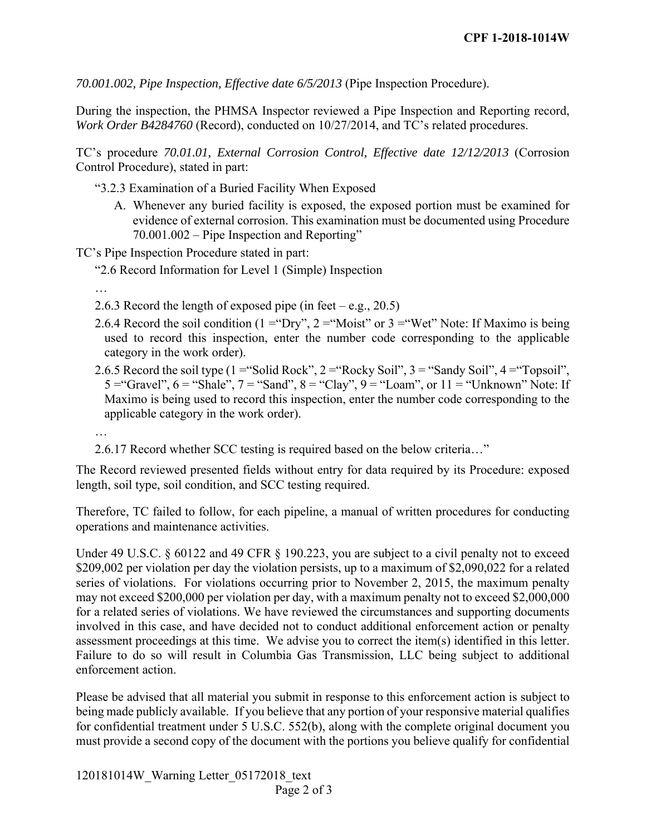*70.001.002, Pipe Inspection, Effective date 6/5/2013* (Pipe Inspection Procedure).

During the inspection, the PHMSA Inspector reviewed a Pipe Inspection and Reporting record, *Work Order B4284760* (Record), conducted on 10/27/2014, and TC's related procedures.

 TC's procedure *70.01.01, External Corrosion Control, Effective date 12/12/2013* (Corrosion Control Procedure), stated in part:

"3.2.3 Examination of a Buried Facility When Exposed

A. Whenever any buried facility is exposed, the exposed portion must be examined for evidence of external corrosion. This examination must be documented using Procedure 70.001.002 – Pipe Inspection and Reporting"

TC's Pipe Inspection Procedure stated in part:

- "2.6 Record Information for Level 1 (Simple) Inspection
- …
- 2.6.3 Record the length of exposed pipe (in feet e.g., 20.5)
- 2.6.4 Record the soil condition (1 = "Dry", 2 = "Moist" or 3 = "Wet" Note: If Maximo is being used to record this inspection, enter the number code corresponding to the applicable category in the work order).
- 2.6.5 Record the soil type  $(1 = "Solid Rock", 2 = "Rocky Soil", 3 = "Sandy Soil", 4 = "Topsoil",$ 5 = "Gravel",  $6$  = "Shale",  $7$  = "Sand",  $8$  = "Clay",  $9$  = "Loam", or  $11$  = "Unknown" Note: If Maximo is being used to record this inspection, enter the number code corresponding to the applicable category in the work order).
- …

2.6.17 Record whether SCC testing is required based on the below criteria…"

The Record reviewed presented fields without entry for data required by its Procedure: exposed length, soil type, soil condition, and SCC testing required.

 Therefore, TC failed to follow, for each pipeline, a manual of written procedures for conducting operations and maintenance activities.

 may not exceed \$200,000 per violation per day, with a maximum penalty not to exceed \$2,000,000 assessment proceedings at this time. We advise you to correct the item(s) identified in this letter. Under 49 U.S.C. § 60122 and 49 CFR § 190.223, you are subject to a civil penalty not to exceed \$209,002 per violation per day the violation persists, up to a maximum of \$2,090,022 for a related series of violations. For violations occurring prior to November 2, 2015, the maximum penalty for a related series of violations. We have reviewed the circumstances and supporting documents involved in this case, and have decided not to conduct additional enforcement action or penalty Failure to do so will result in Columbia Gas Transmission, LLC being subject to additional enforcement action.

Please be advised that all material you submit in response to this enforcement action is subject to being made publicly available. If you believe that any portion of your responsive material qualifies for confidential treatment under 5 U.S.C. 552(b), along with the complete original document you must provide a second copy of the document with the portions you believe qualify for confidential